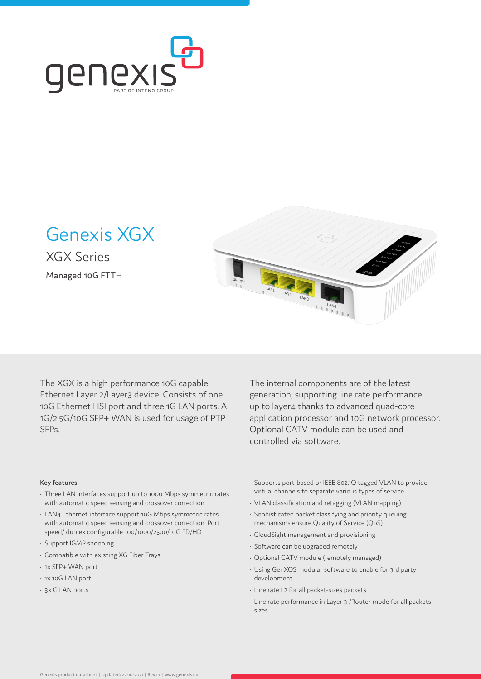

Genexis XGX

XGX Series Managed 10G FTTH



The XGX is a high performance 10G capable Ethernet Layer 2/Layer3 device. Consists of one 10G Ethernet HSI port and three 1G LAN ports. A 1G/2.5G/10G SFP+ WAN is used for usage of PTP SFPs.

The internal components are of the latest generation, supporting line rate performance up to layer4 thanks to advanced quad-core application processor and 10G network processor. Optional CATV module can be used and controlled via software.

## **Key features**

- Three LAN interfaces support up to 1000 Mbps symmetric rates with automatic speed sensing and crossover correction.
- LAN4 Ethernet interface support 10G Mbps symmetric rates with automatic speed sensing and crossover correction. Port speed/ duplex configurable 100/1000/2500/10G FD/HD
- Support IGMP snooping
- Compatible with existing XG Fiber Trays
- 1x SFP+ WAN port
- 1x 10G LAN port
- 3x G LAN ports
- Supports port-based or IEEE 802.1Q tagged VLAN to provide virtual channels to separate various types of service
- VLAN classification and retagging (VLAN mapping)
- Sophisticated packet classifying and priority queuing mechanisms ensure Quality of Service (QoS)
- CloudSight management and provisioning
- Software can be upgraded remotely
- Optional CATV module (remotely managed)
- Using GenXOS modular software to enable for 3rd party development.
- Line rate L2 for all packet-sizes packets
- Line rate performance in Layer 3 /Router mode for all packets sizes